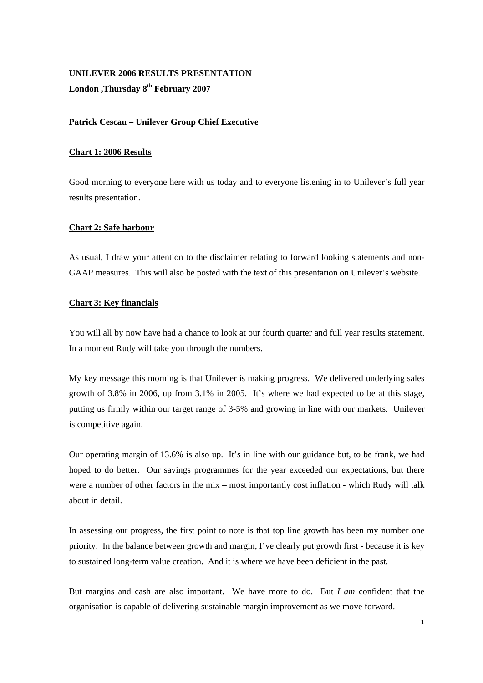# **UNILEVER 2006 RESULTS PRESENTATION London ,Thursday 8th February 2007**

# **Patrick Cescau – Unilever Group Chief Executive**

### **Chart 1: 2006 Results**

Good morning to everyone here with us today and to everyone listening in to Unilever's full year results presentation.

### **Chart 2: Safe harbour**

As usual, I draw your attention to the disclaimer relating to forward looking statements and non-GAAP measures. This will also be posted with the text of this presentation on Unilever's website.

# **Chart 3: Key financials**

You will all by now have had a chance to look at our fourth quarter and full year results statement. In a moment Rudy will take you through the numbers.

My key message this morning is that Unilever is making progress. We delivered underlying sales growth of 3.8% in 2006, up from 3.1% in 2005. It's where we had expected to be at this stage, putting us firmly within our target range of 3-5% and growing in line with our markets. Unilever is competitive again.

Our operating margin of 13.6% is also up. It's in line with our guidance but, to be frank, we had hoped to do better. Our savings programmes for the year exceeded our expectations, but there were a number of other factors in the mix – most importantly cost inflation - which Rudy will talk about in detail.

In assessing our progress, the first point to note is that top line growth has been my number one priority. In the balance between growth and margin, I've clearly put growth first - because it is key to sustained long-term value creation. And it is where we have been deficient in the past.

But margins and cash are also important. We have more to do. But *I am* confident that the organisation is capable of delivering sustainable margin improvement as we move forward.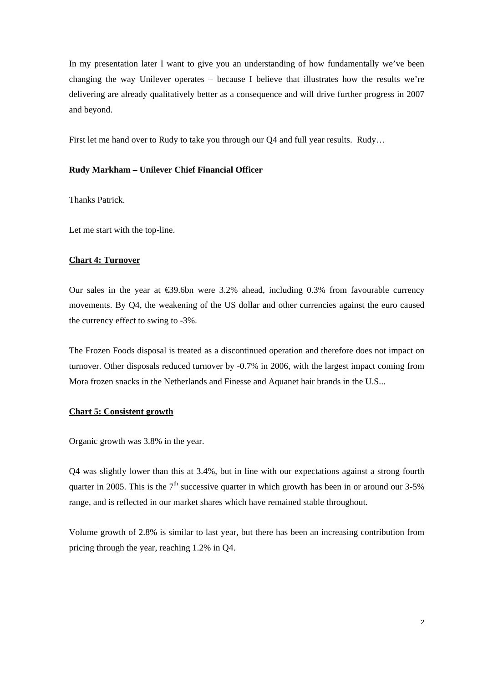In my presentation later I want to give you an understanding of how fundamentally we've been changing the way Unilever operates – because I believe that illustrates how the results we're delivering are already qualitatively better as a consequence and will drive further progress in 2007 and beyond.

First let me hand over to Rudy to take you through our Q4 and full year results. Rudy…

### **Rudy Markham – Unilever Chief Financial Officer**

Thanks Patrick.

Let me start with the top-line.

#### **Chart 4: Turnover**

Our sales in the year at  $\epsilon$ 39.6bn were 3.2% ahead, including 0.3% from favourable currency movements. By Q4, the weakening of the US dollar and other currencies against the euro caused the currency effect to swing to -3%.

The Frozen Foods disposal is treated as a discontinued operation and therefore does not impact on turnover. Other disposals reduced turnover by -0.7% in 2006, with the largest impact coming from Mora frozen snacks in the Netherlands and Finesse and Aquanet hair brands in the U.S...

### **Chart 5: Consistent growth**

Organic growth was 3.8% in the year.

Q4 was slightly lower than this at 3.4%, but in line with our expectations against a strong fourth quarter in 2005. This is the  $7<sup>th</sup>$  successive quarter in which growth has been in or around our 3-5% range, and is reflected in our market shares which have remained stable throughout.

Volume growth of 2.8% is similar to last year, but there has been an increasing contribution from pricing through the year, reaching 1.2% in Q4.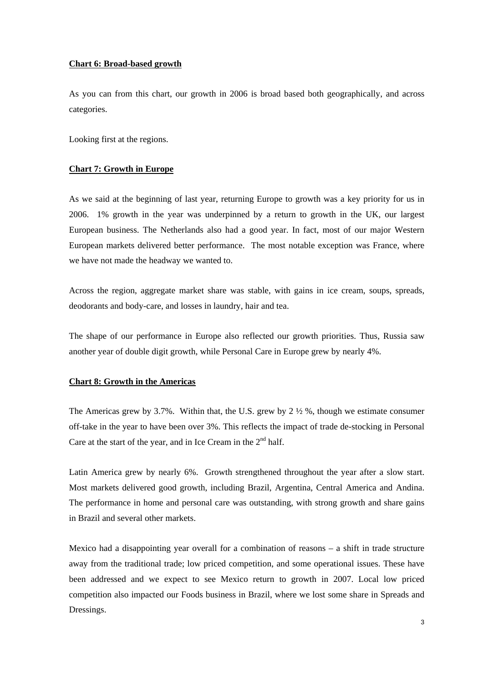### **Chart 6: Broad-based growth**

As you can from this chart, our growth in 2006 is broad based both geographically, and across categories.

Looking first at the regions.

### **Chart 7: Growth in Europe**

As we said at the beginning of last year, returning Europe to growth was a key priority for us in 2006. 1% growth in the year was underpinned by a return to growth in the UK, our largest European business. The Netherlands also had a good year. In fact, most of our major Western European markets delivered better performance. The most notable exception was France, where we have not made the headway we wanted to.

Across the region, aggregate market share was stable, with gains in ice cream, soups, spreads, deodorants and body-care, and losses in laundry, hair and tea.

The shape of our performance in Europe also reflected our growth priorities. Thus, Russia saw another year of double digit growth, while Personal Care in Europe grew by nearly 4%.

#### **Chart 8: Growth in the Americas**

The Americas grew by 3.7%. Within that, the U.S. grew by  $2 \frac{1}{2}$ %, though we estimate consumer off-take in the year to have been over 3%. This reflects the impact of trade de-stocking in Personal Care at the start of the year, and in Ice Cream in the  $2<sup>nd</sup>$  half.

Latin America grew by nearly 6%. Growth strengthened throughout the year after a slow start. Most markets delivered good growth, including Brazil, Argentina, Central America and Andina. The performance in home and personal care was outstanding, with strong growth and share gains in Brazil and several other markets.

Mexico had a disappointing year overall for a combination of reasons – a shift in trade structure away from the traditional trade; low priced competition, and some operational issues. These have been addressed and we expect to see Mexico return to growth in 2007. Local low priced competition also impacted our Foods business in Brazil, where we lost some share in Spreads and Dressings.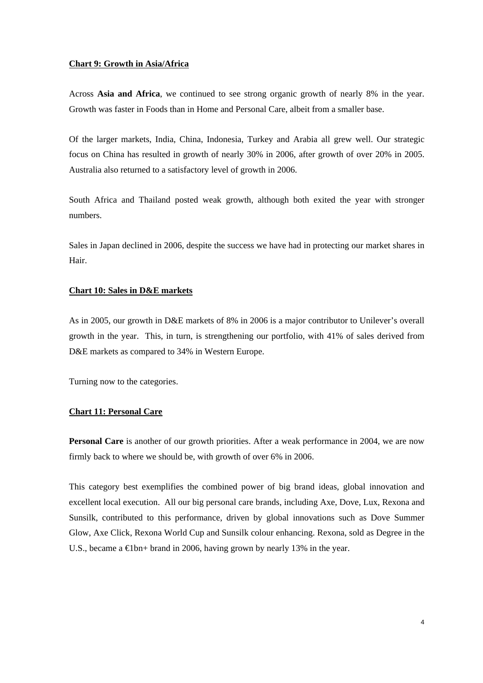### **Chart 9: Growth in Asia/Africa**

Across **Asia and Africa**, we continued to see strong organic growth of nearly 8% in the year. Growth was faster in Foods than in Home and Personal Care, albeit from a smaller base.

Of the larger markets, India, China, Indonesia, Turkey and Arabia all grew well. Our strategic focus on China has resulted in growth of nearly 30% in 2006, after growth of over 20% in 2005. Australia also returned to a satisfactory level of growth in 2006.

South Africa and Thailand posted weak growth, although both exited the year with stronger numbers.

Sales in Japan declined in 2006, despite the success we have had in protecting our market shares in Hair.

### **Chart 10: Sales in D&E markets**

As in 2005, our growth in D&E markets of 8% in 2006 is a major contributor to Unilever's overall growth in the year. This, in turn, is strengthening our portfolio, with 41% of sales derived from D&E markets as compared to 34% in Western Europe.

Turning now to the categories.

### **Chart 11: Personal Care**

**Personal Care** is another of our growth priorities. After a weak performance in 2004, we are now firmly back to where we should be, with growth of over 6% in 2006.

This category best exemplifies the combined power of big brand ideas, global innovation and excellent local execution. All our big personal care brands, including Axe, Dove, Lux, Rexona and Sunsilk, contributed to this performance, driven by global innovations such as Dove Summer Glow, Axe Click, Rexona World Cup and Sunsilk colour enhancing. Rexona, sold as Degree in the U.S., became a  $\in$  lbn+ brand in 2006, having grown by nearly 13% in the year.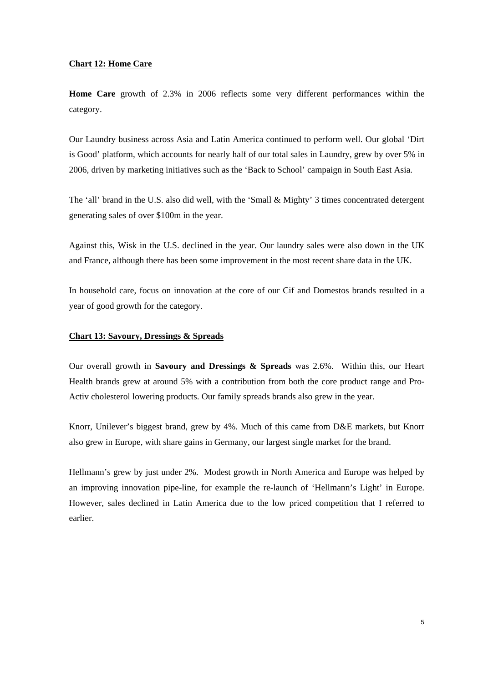### **Chart 12: Home Care**

**Home Care** growth of 2.3% in 2006 reflects some very different performances within the category.

Our Laundry business across Asia and Latin America continued to perform well. Our global 'Dirt is Good' platform, which accounts for nearly half of our total sales in Laundry, grew by over 5% in 2006, driven by marketing initiatives such as the 'Back to School' campaign in South East Asia.

The 'all' brand in the U.S. also did well, with the 'Small & Mighty' 3 times concentrated detergent generating sales of over \$100m in the year.

Against this, Wisk in the U.S. declined in the year. Our laundry sales were also down in the UK and France, although there has been some improvement in the most recent share data in the UK.

In household care, focus on innovation at the core of our Cif and Domestos brands resulted in a year of good growth for the category.

### **Chart 13: Savoury, Dressings & Spreads**

Our overall growth in **Savoury and Dressings & Spreads** was 2.6%. Within this, our Heart Health brands grew at around 5% with a contribution from both the core product range and Pro-Activ cholesterol lowering products. Our family spreads brands also grew in the year.

Knorr, Unilever's biggest brand, grew by 4%. Much of this came from D&E markets, but Knorr also grew in Europe, with share gains in Germany, our largest single market for the brand.

Hellmann's grew by just under 2%. Modest growth in North America and Europe was helped by an improving innovation pipe-line, for example the re-launch of 'Hellmann's Light' in Europe. However, sales declined in Latin America due to the low priced competition that I referred to earlier.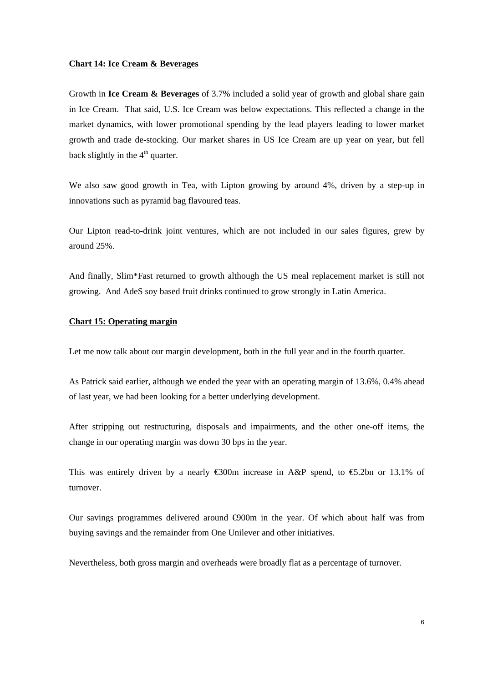#### **Chart 14: Ice Cream & Beverages**

Growth in **Ice Cream & Beverages** of 3.7% included a solid year of growth and global share gain in Ice Cream. That said, U.S. Ice Cream was below expectations. This reflected a change in the market dynamics, with lower promotional spending by the lead players leading to lower market growth and trade de-stocking. Our market shares in US Ice Cream are up year on year, but fell back slightly in the  $4<sup>th</sup>$  quarter.

We also saw good growth in Tea, with Lipton growing by around 4%, driven by a step-up in innovations such as pyramid bag flavoured teas.

Our Lipton read-to-drink joint ventures, which are not included in our sales figures, grew by around 25%.

And finally, Slim\*Fast returned to growth although the US meal replacement market is still not growing. And AdeS soy based fruit drinks continued to grow strongly in Latin America.

### **Chart 15: Operating margin**

Let me now talk about our margin development, both in the full year and in the fourth quarter.

As Patrick said earlier, although we ended the year with an operating margin of 13.6%, 0.4% ahead of last year, we had been looking for a better underlying development.

After stripping out restructuring, disposals and impairments, and the other one-off items, the change in our operating margin was down 30 bps in the year.

This was entirely driven by a nearly  $\leq 300$ m increase in A&P spend, to  $\leq 5.2$ bn or 13.1% of turnover.

Our savings programmes delivered around  $\Theta$ 00m in the year. Of which about half was from buying savings and the remainder from One Unilever and other initiatives.

Nevertheless, both gross margin and overheads were broadly flat as a percentage of turnover.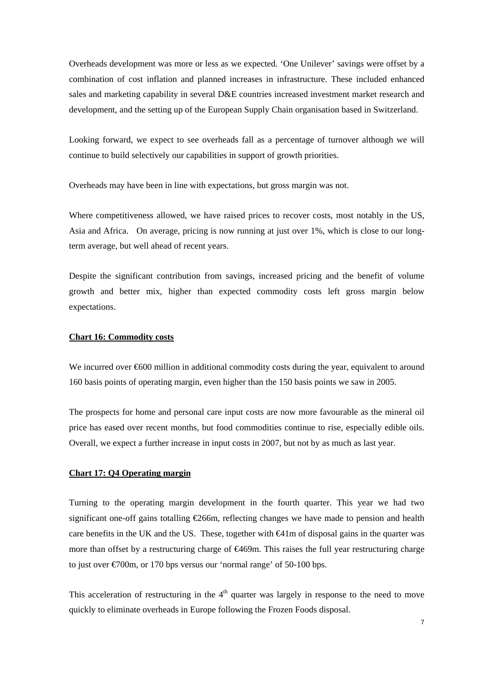Overheads development was more or less as we expected. 'One Unilever' savings were offset by a combination of cost inflation and planned increases in infrastructure. These included enhanced sales and marketing capability in several D&E countries increased investment market research and development, and the setting up of the European Supply Chain organisation based in Switzerland.

Looking forward, we expect to see overheads fall as a percentage of turnover although we will continue to build selectively our capabilities in support of growth priorities.

Overheads may have been in line with expectations, but gross margin was not.

Where competitiveness allowed, we have raised prices to recover costs, most notably in the US, Asia and Africa. On average, pricing is now running at just over 1%, which is close to our longterm average, but well ahead of recent years.

Despite the significant contribution from savings, increased pricing and the benefit of volume growth and better mix, higher than expected commodity costs left gross margin below expectations.

### **Chart 16: Commodity costs**

We incurred over €600 million in additional commodity costs during the year, equivalent to around 160 basis points of operating margin, even higher than the 150 basis points we saw in 2005.

The prospects for home and personal care input costs are now more favourable as the mineral oil price has eased over recent months, but food commodities continue to rise, especially edible oils. Overall, we expect a further increase in input costs in 2007, but not by as much as last year.

#### **Chart 17: Q4 Operating margin**

Turning to the operating margin development in the fourth quarter. This year we had two significant one-off gains totalling €266m, reflecting changes we have made to pension and health care benefits in the UK and the US. These, together with  $\bigoplus$  1m of disposal gains in the quarter was more than offset by a restructuring charge of €469m. This raises the full year restructuring charge to just over  $\epsilon$ 700m, or 170 bps versus our 'normal range' of 50-100 bps.

This acceleration of restructuring in the  $4<sup>th</sup>$  quarter was largely in response to the need to move quickly to eliminate overheads in Europe following the Frozen Foods disposal.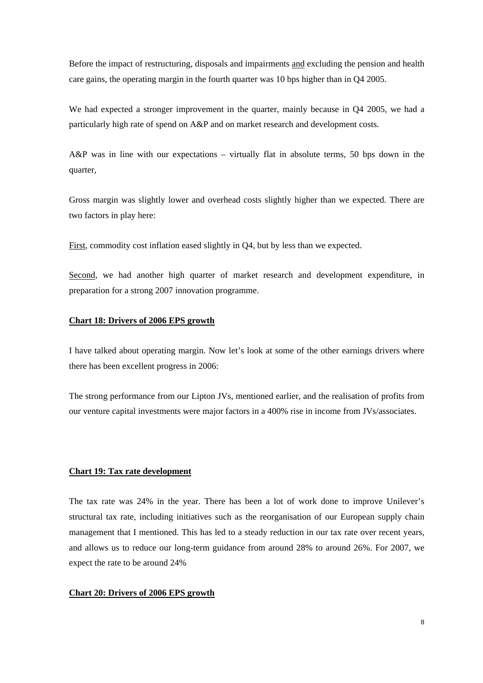Before the impact of restructuring, disposals and impairments and excluding the pension and health care gains, the operating margin in the fourth quarter was 10 bps higher than in Q4 2005.

We had expected a stronger improvement in the quarter, mainly because in Q4 2005, we had a particularly high rate of spend on A&P and on market research and development costs.

A&P was in line with our expectations – virtually flat in absolute terms, 50 bps down in the quarter,

Gross margin was slightly lower and overhead costs slightly higher than we expected. There are two factors in play here:

First, commodity cost inflation eased slightly in Q4, but by less than we expected.

Second, we had another high quarter of market research and development expenditure, in preparation for a strong 2007 innovation programme.

#### **Chart 18: Drivers of 2006 EPS growth**

I have talked about operating margin. Now let's look at some of the other earnings drivers where there has been excellent progress in 2006:

The strong performance from our Lipton JVs, mentioned earlier, and the realisation of profits from our venture capital investments were major factors in a 400% rise in income from JVs/associates.

#### **Chart 19: Tax rate development**

The tax rate was 24% in the year. There has been a lot of work done to improve Unilever's structural tax rate, including initiatives such as the reorganisation of our European supply chain management that I mentioned. This has led to a steady reduction in our tax rate over recent years, and allows us to reduce our long-term guidance from around 28% to around 26%. For 2007, we expect the rate to be around 24%

#### **Chart 20: Drivers of 2006 EPS growth**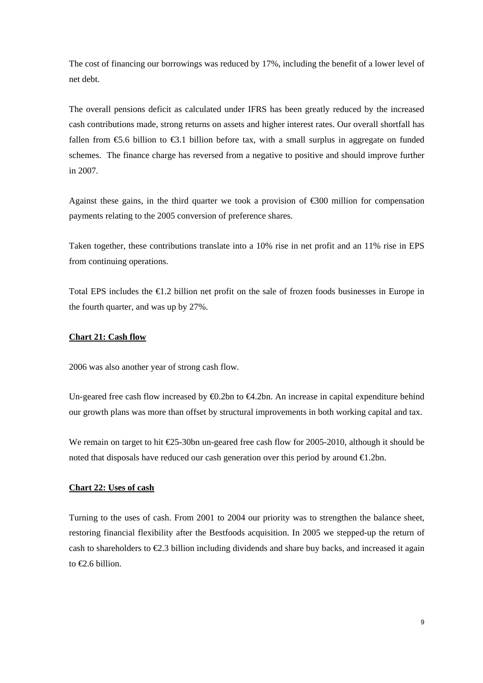The cost of financing our borrowings was reduced by 17%, including the benefit of a lower level of net debt.

The overall pensions deficit as calculated under IFRS has been greatly reduced by the increased cash contributions made, strong returns on assets and higher interest rates. Our overall shortfall has fallen from  $\epsilon$ 5.6 billion to  $\epsilon$ 3.1 billion before tax, with a small surplus in aggregate on funded schemes. The finance charge has reversed from a negative to positive and should improve further in 2007.

Against these gains, in the third quarter we took a provision of  $\epsilon$ 300 million for compensation payments relating to the 2005 conversion of preference shares.

Taken together, these contributions translate into a 10% rise in net profit and an 11% rise in EPS from continuing operations.

Total EPS includes the €1.2 billion net profit on the sale of frozen foods businesses in Europe in the fourth quarter, and was up by 27%.

### **Chart 21: Cash flow**

2006 was also another year of strong cash flow.

Un-geared free cash flow increased by  $\bigoplus$ . 2bn to  $\bigoplus$ . 2bn. An increase in capital expenditure behind our growth plans was more than offset by structural improvements in both working capital and tax.

We remain on target to hit €25-30bn un-geared free cash flow for 2005-2010, although it should be noted that disposals have reduced our cash generation over this period by around  $\epsilon$ 1.2bn.

### **Chart 22: Uses of cash**

Turning to the uses of cash. From 2001 to 2004 our priority was to strengthen the balance sheet, restoring financial flexibility after the Bestfoods acquisition. In 2005 we stepped-up the return of cash to shareholders to  $\epsilon$ . 23 billion including dividends and share buy backs, and increased it again to €2.6 billion.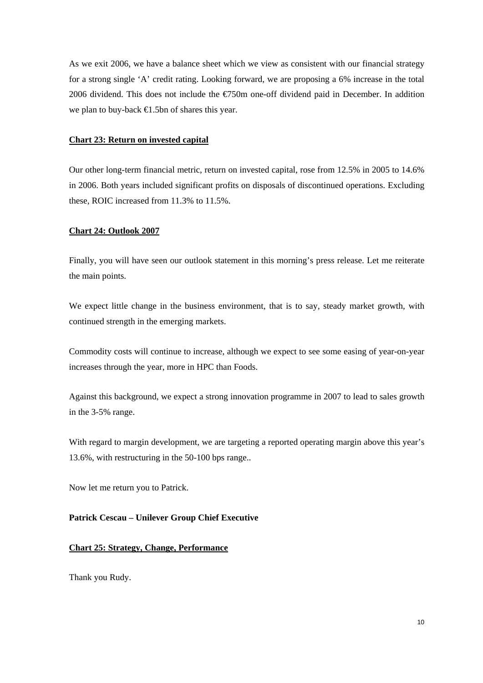As we exit 2006, we have a balance sheet which we view as consistent with our financial strategy for a strong single 'A' credit rating. Looking forward, we are proposing a 6% increase in the total 2006 dividend. This does not include the €750m one-off dividend paid in December. In addition we plan to buy-back €1.5bn of shares this year.

### **Chart 23: Return on invested capital**

Our other long-term financial metric, return on invested capital, rose from 12.5% in 2005 to 14.6% in 2006. Both years included significant profits on disposals of discontinued operations. Excluding these, ROIC increased from 11.3% to 11.5%.

#### **Chart 24: Outlook 2007**

Finally, you will have seen our outlook statement in this morning's press release. Let me reiterate the main points.

We expect little change in the business environment, that is to say, steady market growth, with continued strength in the emerging markets.

Commodity costs will continue to increase, although we expect to see some easing of year-on-year increases through the year, more in HPC than Foods.

Against this background, we expect a strong innovation programme in 2007 to lead to sales growth in the 3-5% range.

With regard to margin development, we are targeting a reported operating margin above this year's 13.6%, with restructuring in the 50-100 bps range..

Now let me return you to Patrick.

**Patrick Cescau – Unilever Group Chief Executive** 

### **Chart 25: Strategy, Change, Performance**

Thank you Rudy.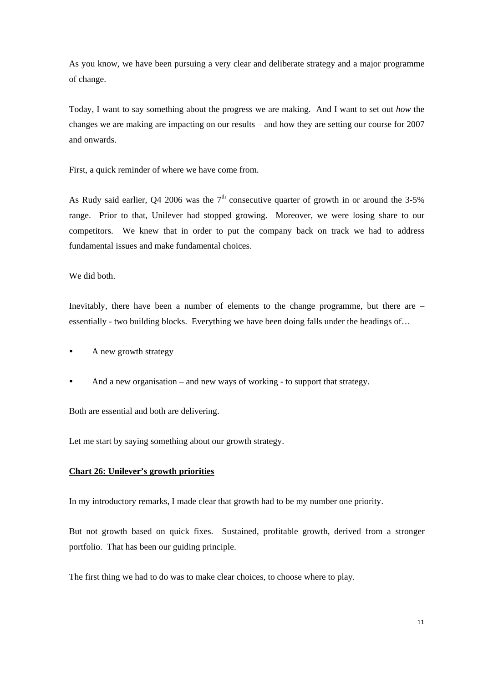As you know, we have been pursuing a very clear and deliberate strategy and a major programme of change.

Today, I want to say something about the progress we are making. And I want to set out *how* the changes we are making are impacting on our results – and how they are setting our course for 2007 and onwards.

First, a quick reminder of where we have come from.

As Rudy said earlier, Q4 2006 was the  $7<sup>th</sup>$  consecutive quarter of growth in or around the 3-5% range. Prior to that, Unilever had stopped growing. Moreover, we were losing share to our competitors. We knew that in order to put the company back on track we had to address fundamental issues and make fundamental choices.

We did both.

Inevitably, there have been a number of elements to the change programme, but there are – essentially - two building blocks. Everything we have been doing falls under the headings of…

- A new growth strategy
- And a new organisation and new ways of working to support that strategy.

Both are essential and both are delivering.

Let me start by saying something about our growth strategy.

#### **Chart 26: Unilever's growth priorities**

In my introductory remarks, I made clear that growth had to be my number one priority.

But not growth based on quick fixes. Sustained, profitable growth, derived from a stronger portfolio. That has been our guiding principle.

The first thing we had to do was to make clear choices, to choose where to play.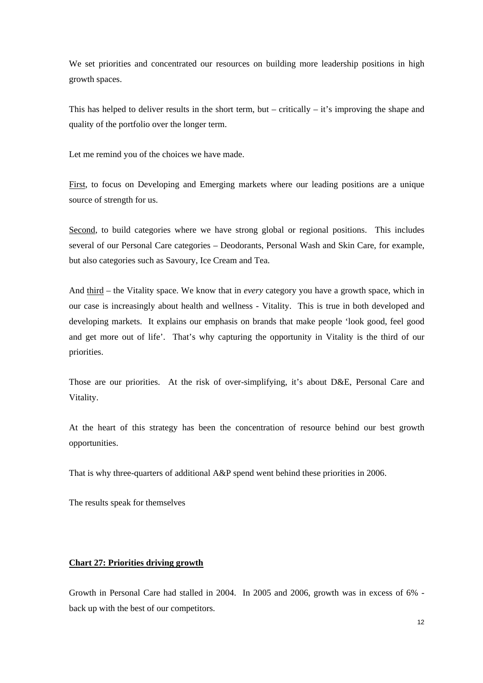We set priorities and concentrated our resources on building more leadership positions in high growth spaces.

This has helped to deliver results in the short term, but – critically – it's improving the shape and quality of the portfolio over the longer term.

Let me remind you of the choices we have made.

First, to focus on Developing and Emerging markets where our leading positions are a unique source of strength for us.

Second, to build categories where we have strong global or regional positions. This includes several of our Personal Care categories – Deodorants, Personal Wash and Skin Care, for example, but also categories such as Savoury, Ice Cream and Tea.

And third – the Vitality space. We know that in *every* category you have a growth space, which in our case is increasingly about health and wellness - Vitality. This is true in both developed and developing markets. It explains our emphasis on brands that make people 'look good, feel good and get more out of life'. That's why capturing the opportunity in Vitality is the third of our priorities.

Those are our priorities. At the risk of over-simplifying, it's about D&E, Personal Care and Vitality.

At the heart of this strategy has been the concentration of resource behind our best growth opportunities.

That is why three-quarters of additional A&P spend went behind these priorities in 2006.

The results speak for themselves

### **Chart 27: Priorities driving growth**

Growth in Personal Care had stalled in 2004. In 2005 and 2006, growth was in excess of 6% back up with the best of our competitors.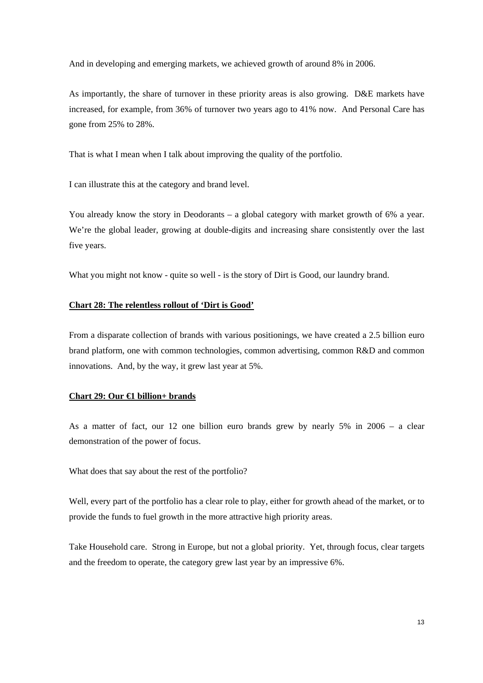And in developing and emerging markets, we achieved growth of around 8% in 2006.

As importantly, the share of turnover in these priority areas is also growing. D&E markets have increased, for example, from 36% of turnover two years ago to 41% now. And Personal Care has gone from 25% to 28%.

That is what I mean when I talk about improving the quality of the portfolio.

I can illustrate this at the category and brand level.

You already know the story in Deodorants – a global category with market growth of 6% a year. We're the global leader, growing at double-digits and increasing share consistently over the last five years.

What you might not know - quite so well - is the story of Dirt is Good, our laundry brand.

# **Chart 28: The relentless rollout of 'Dirt is Good'**

From a disparate collection of brands with various positionings, we have created a 2.5 billion euro brand platform, one with common technologies, common advertising, common R&D and common innovations. And, by the way, it grew last year at 5%.

#### **Chart 29: Our €1 billion+ brands**

As a matter of fact, our 12 one billion euro brands grew by nearly 5% in 2006 – a clear demonstration of the power of focus.

What does that say about the rest of the portfolio?

Well, every part of the portfolio has a clear role to play, either for growth ahead of the market, or to provide the funds to fuel growth in the more attractive high priority areas.

Take Household care. Strong in Europe, but not a global priority. Yet, through focus, clear targets and the freedom to operate, the category grew last year by an impressive 6%.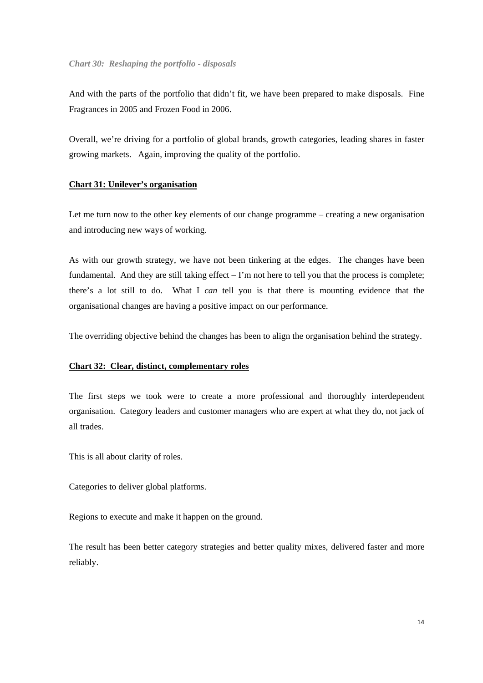And with the parts of the portfolio that didn't fit, we have been prepared to make disposals. Fine Fragrances in 2005 and Frozen Food in 2006.

Overall, we're driving for a portfolio of global brands, growth categories, leading shares in faster growing markets. Again, improving the quality of the portfolio.

### **Chart 31: Unilever's organisation**

Let me turn now to the other key elements of our change programme – creating a new organisation and introducing new ways of working.

As with our growth strategy, we have not been tinkering at the edges. The changes have been fundamental. And they are still taking effect – I'm not here to tell you that the process is complete; there's a lot still to do. What I *can* tell you is that there is mounting evidence that the organisational changes are having a positive impact on our performance.

The overriding objective behind the changes has been to align the organisation behind the strategy.

#### **Chart 32: Clear, distinct, complementary roles**

The first steps we took were to create a more professional and thoroughly interdependent organisation. Category leaders and customer managers who are expert at what they do, not jack of all trades.

This is all about clarity of roles.

Categories to deliver global platforms.

Regions to execute and make it happen on the ground.

The result has been better category strategies and better quality mixes, delivered faster and more reliably.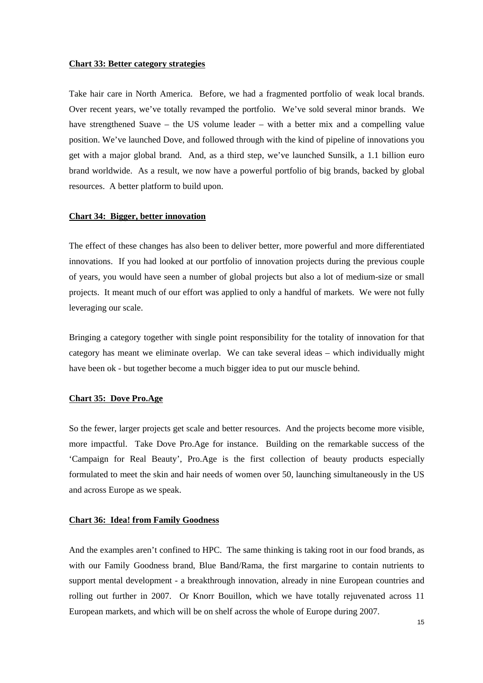#### **Chart 33: Better category strategies**

Take hair care in North America. Before, we had a fragmented portfolio of weak local brands. Over recent years, we've totally revamped the portfolio. We've sold several minor brands. We have strengthened Suave – the US volume leader – with a better mix and a compelling value position. We've launched Dove, and followed through with the kind of pipeline of innovations you get with a major global brand. And, as a third step, we've launched Sunsilk, a 1.1 billion euro brand worldwide. As a result, we now have a powerful portfolio of big brands, backed by global resources. A better platform to build upon.

#### **Chart 34: Bigger, better innovation**

The effect of these changes has also been to deliver better, more powerful and more differentiated innovations. If you had looked at our portfolio of innovation projects during the previous couple of years, you would have seen a number of global projects but also a lot of medium-size or small projects. It meant much of our effort was applied to only a handful of markets. We were not fully leveraging our scale.

Bringing a category together with single point responsibility for the totality of innovation for that category has meant we eliminate overlap. We can take several ideas – which individually might have been ok - but together become a much bigger idea to put our muscle behind.

### **Chart 35: Dove Pro.Age**

So the fewer, larger projects get scale and better resources. And the projects become more visible, more impactful. Take Dove Pro.Age for instance. Building on the remarkable success of the 'Campaign for Real Beauty', Pro.Age is the first collection of beauty products especially formulated to meet the skin and hair needs of women over 50, launching simultaneously in the US and across Europe as we speak.

### **Chart 36: Idea! from Family Goodness**

And the examples aren't confined to HPC. The same thinking is taking root in our food brands, as with our Family Goodness brand, Blue Band/Rama, the first margarine to contain nutrients to support mental development - a breakthrough innovation, already in nine European countries and rolling out further in 2007. Or Knorr Bouillon, which we have totally rejuvenated across 11 European markets, and which will be on shelf across the whole of Europe during 2007.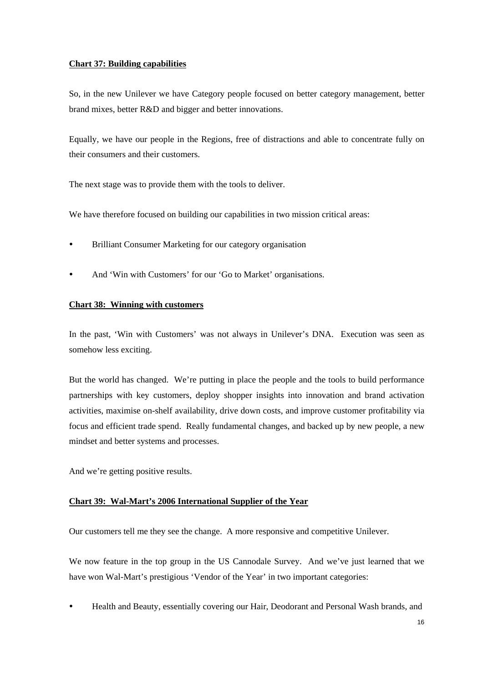## **Chart 37: Building capabilities**

So, in the new Unilever we have Category people focused on better category management, better brand mixes, better R&D and bigger and better innovations.

Equally, we have our people in the Regions, free of distractions and able to concentrate fully on their consumers and their customers.

The next stage was to provide them with the tools to deliver.

We have therefore focused on building our capabilities in two mission critical areas:

- Brilliant Consumer Marketing for our category organisation
- And 'Win with Customers' for our 'Go to Market' organisations.

# **Chart 38: Winning with customers**

In the past, 'Win with Customers' was not always in Unilever's DNA. Execution was seen as somehow less exciting.

But the world has changed. We're putting in place the people and the tools to build performance partnerships with key customers, deploy shopper insights into innovation and brand activation activities, maximise on-shelf availability, drive down costs, and improve customer profitability via focus and efficient trade spend. Really fundamental changes, and backed up by new people, a new mindset and better systems and processes.

And we're getting positive results.

# **Chart 39: Wal-Mart's 2006 International Supplier of the Year**

Our customers tell me they see the change. A more responsive and competitive Unilever.

We now feature in the top group in the US Cannodale Survey. And we've just learned that we have won Wal-Mart's prestigious 'Vendor of the Year' in two important categories:

Health and Beauty, essentially covering our Hair, Deodorant and Personal Wash brands, and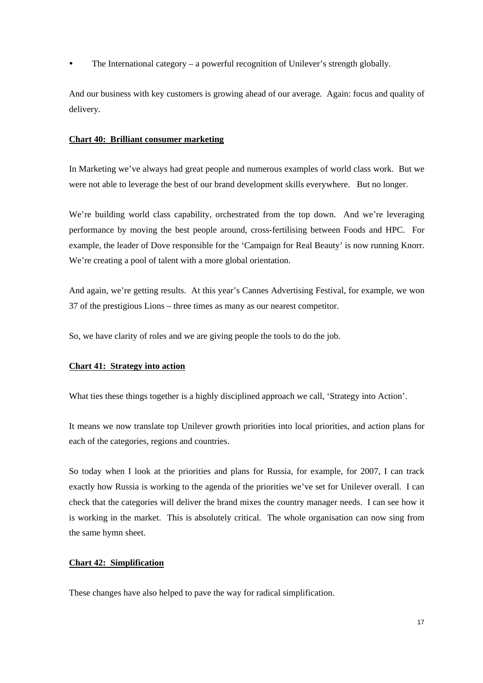The International category – a powerful recognition of Unilever's strength globally.

And our business with key customers is growing ahead of our average. Again: focus and quality of delivery.

### **Chart 40: Brilliant consumer marketing**

In Marketing we've always had great people and numerous examples of world class work. But we were not able to leverage the best of our brand development skills everywhere. But no longer.

We're building world class capability, orchestrated from the top down. And we're leveraging performance by moving the best people around, cross-fertilising between Foods and HPC. For example, the leader of Dove responsible for the 'Campaign for Real Beauty' is now running Knorr. We're creating a pool of talent with a more global orientation.

And again, we're getting results. At this year's Cannes Advertising Festival, for example, we won 37 of the prestigious Lions – three times as many as our nearest competitor.

So, we have clarity of roles and we are giving people the tools to do the job.

#### **Chart 41: Strategy into action**

What ties these things together is a highly disciplined approach we call, 'Strategy into Action'.

It means we now translate top Unilever growth priorities into local priorities, and action plans for each of the categories, regions and countries.

So today when I look at the priorities and plans for Russia, for example, for 2007, I can track exactly how Russia is working to the agenda of the priorities we've set for Unilever overall. I can check that the categories will deliver the brand mixes the country manager needs. I can see how it is working in the market. This is absolutely critical. The whole organisation can now sing from the same hymn sheet.

# **Chart 42: Simplification**

These changes have also helped to pave the way for radical simplification.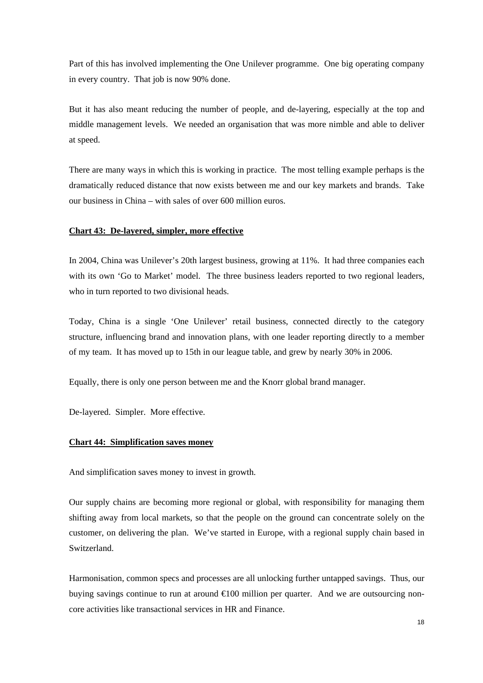Part of this has involved implementing the One Unilever programme. One big operating company in every country. That job is now 90% done.

But it has also meant reducing the number of people, and de-layering, especially at the top and middle management levels. We needed an organisation that was more nimble and able to deliver at speed.

There are many ways in which this is working in practice. The most telling example perhaps is the dramatically reduced distance that now exists between me and our key markets and brands. Take our business in China – with sales of over 600 million euros.

#### **Chart 43: De-layered, simpler, more effective**

In 2004, China was Unilever's 20th largest business, growing at 11%. It had three companies each with its own 'Go to Market' model. The three business leaders reported to two regional leaders, who in turn reported to two divisional heads.

Today, China is a single 'One Unilever' retail business, connected directly to the category structure, influencing brand and innovation plans, with one leader reporting directly to a member of my team. It has moved up to 15th in our league table, and grew by nearly 30% in 2006.

Equally, there is only one person between me and the Knorr global brand manager.

De-layered. Simpler. More effective.

### **Chart 44: Simplification saves money**

And simplification saves money to invest in growth.

Our supply chains are becoming more regional or global, with responsibility for managing them shifting away from local markets, so that the people on the ground can concentrate solely on the customer, on delivering the plan. We've started in Europe, with a regional supply chain based in Switzerland.

Harmonisation, common specs and processes are all unlocking further untapped savings. Thus, our buying savings continue to run at around €100 million per quarter. And we are outsourcing noncore activities like transactional services in HR and Finance.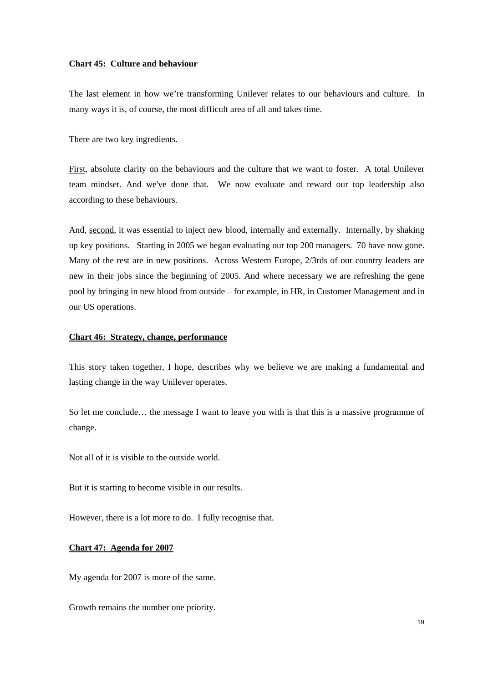#### **Chart 45: Culture and behaviour**

The last element in how we're transforming Unilever relates to our behaviours and culture. In many ways it is, of course, the most difficult area of all and takes time.

There are two key ingredients.

First, absolute clarity on the behaviours and the culture that we want to foster. A total Unilever team mindset. And we've done that. We now evaluate and reward our top leadership also according to these behaviours.

And, second, it was essential to inject new blood, internally and externally. Internally, by shaking up key positions. Starting in 2005 we began evaluating our top 200 managers. 70 have now gone. Many of the rest are in new positions. Across Western Europe, 2/3rds of our country leaders are new in their jobs since the beginning of 2005. And where necessary we are refreshing the gene pool by bringing in new blood from outside – for example, in HR, in Customer Management and in our US operations.

### **Chart 46: Strategy, change, performance**

This story taken together, I hope, describes why we believe we are making a fundamental and lasting change in the way Unilever operates.

So let me conclude… the message I want to leave you with is that this is a massive programme of change.

Not all of it is visible to the outside world.

But it is starting to become visible in our results.

However, there is a lot more to do. I fully recognise that.

### **Chart 47: Agenda for 2007**

My agenda for 2007 is more of the same.

Growth remains the number one priority.